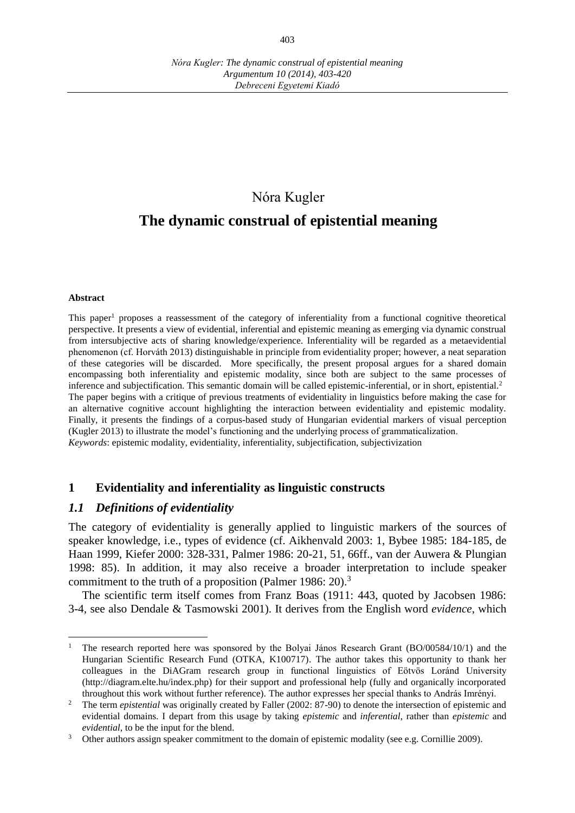## Nóra Kugler

# **The dynamic construal of epistential meaning**

#### **Abstract**

 $\overline{a}$ 

This paper<sup>1</sup> proposes a reassessment of the category of inferentiality from a functional cognitive theoretical perspective. It presents a view of evidential, inferential and epistemic meaning as emerging via dynamic construal from intersubjective acts of sharing knowledge/experience. Inferentiality will be regarded as a metaevidential phenomenon (cf. Horváth 2013) distinguishable in principle from evidentiality proper; however, a neat separation of these categories will be discarded. More specifically, the present proposal argues for a shared domain encompassing both inferentiality and epistemic modality, since both are subject to the same processes of inference and subjectification. This semantic domain will be called epistemic-inferential, or in short, epistential.<sup>2</sup> The paper begins with a critique of previous treatments of evidentiality in linguistics before making the case for an alternative cognitive account highlighting the interaction between evidentiality and epistemic modality. Finally, it presents the findings of a corpus-based study of Hungarian evidential markers of visual perception (Kugler 2013) to illustrate the model's functioning and the underlying process of grammaticalization. *Keywords*: epistemic modality, evidentiality, inferentiality, subjectification, subjectivization

#### **1 Evidentiality and inferentiality as linguistic constructs**

#### *1.1 Definitions of evidentiality*

The category of evidentiality is generally applied to linguistic markers of the sources of speaker knowledge, i.e., types of evidence (cf. Aikhenvald 2003: 1, Bybee 1985: 184-185, de Haan 1999, Kiefer 2000: 328-331, Palmer 1986: 20-21, 51, 66ff., van der Auwera & Plungian 1998: 85). In addition, it may also receive a broader interpretation to include speaker commitment to the truth of a proposition (Palmer 1986: 20).<sup>3</sup>

The scientific term itself comes from Franz Boas (1911: 443, quoted by Jacobsen 1986: 3-4, see also Dendale & Tasmowski 2001). It derives from the English word *evidence*, which

<sup>1</sup> The research reported here was sponsored by the Bolyai János Research Grant (BO/00584/10/1) and the Hungarian Scientific Research Fund (OTKA, K100717). The author takes this opportunity to thank her colleagues in the DiAGram research group in functional linguistics of Eötvös Loránd University (http://diagram.elte.hu/index.php) for their support and professional help (fully and organically incorporated throughout this work without further reference). The author expresses her special thanks to András Imrényi.

<sup>&</sup>lt;sup>2</sup> The term *epistential* was originally created by Faller (2002: 87-90) to denote the intersection of epistemic and evidential domains. I depart from this usage by taking *epistemic* and *inferential*, rather than *epistemic* and *evidential*, to be the input for the blend.

<sup>&</sup>lt;sup>3</sup> Other authors assign speaker commitment to the domain of epistemic modality (see e.g. Cornillie 2009).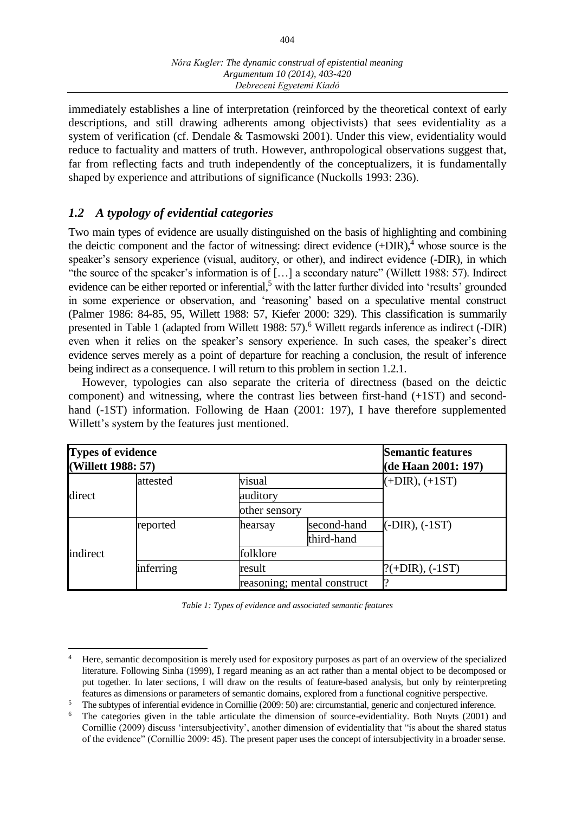immediately establishes a line of interpretation (reinforced by the theoretical context of early descriptions, and still drawing adherents among objectivists) that sees evidentiality as a system of verification (cf. Dendale & Tasmowski 2001). Under this view, evidentiality would reduce to factuality and matters of truth. However, anthropological observations suggest that, far from reflecting facts and truth independently of the conceptualizers, it is fundamentally shaped by experience and attributions of significance (Nuckolls 1993: 236).

## *1.2 A typology of evidential categories*

 $\overline{a}$ 

Two main types of evidence are usually distinguished on the basis of highlighting and combining the deictic component and the factor of witnessing: direct evidence  $(+DIR)$ ,<sup>4</sup> whose source is the speaker's sensory experience (visual, auditory, or other), and indirect evidence (-DIR), in which "the source of the speaker's information is of […] a secondary nature" (Willett 1988: 57). Indirect evidence can be either reported or inferential,<sup>5</sup> with the latter further divided into 'results' grounded in some experience or observation, and 'reasoning' based on a speculative mental construct (Palmer 1986: 84-85, 95, Willett 1988: 57, Kiefer 2000: 329). This classification is summarily presented in Table 1 (adapted from Willett 1988: 57).<sup>6</sup> Willett regards inference as indirect (-DIR) even when it relies on the speaker's sensory experience. In such cases, the speaker's direct evidence serves merely as a point of departure for reaching a conclusion, the result of inference being indirect as a consequence. I will return to this problem in section 1.2.1.

However, typologies can also separate the criteria of directness (based on the deictic component) and witnessing, where the contrast lies between first-hand (+1ST) and secondhand (-1ST) information. Following de Haan (2001: 197), I have therefore supplemented Willett's system by the features just mentioned.

| Types of evidence<br>(Willett 1988: 57) |           | <b>Semantic features</b><br>(de Haan 2001: 197) |                             |                   |
|-----------------------------------------|-----------|-------------------------------------------------|-----------------------------|-------------------|
|                                         | attested  | visual                                          |                             | $(+DIR), (+1ST)$  |
| direct                                  |           | auditory                                        |                             |                   |
|                                         |           | other sensory                                   |                             |                   |
|                                         | reported  | hearsay                                         | second-hand                 | $(-DIR), (-1ST)$  |
|                                         |           |                                                 | third-hand                  |                   |
| indirect                                |           | folklore                                        |                             |                   |
|                                         | inferring | result                                          |                             | $?(+DIR), (-1ST)$ |
|                                         |           |                                                 | reasoning; mental construct |                   |

*Table 1: Types of evidence and associated semantic features*

<sup>4</sup> Here, semantic decomposition is merely used for expository purposes as part of an overview of the specialized literature. Following Sinha (1999), I regard meaning as an act rather than a mental object to be decomposed or put together. In later sections, I will draw on the results of feature-based analysis, but only by reinterpreting features as dimensions or parameters of semantic domains, explored from a functional cognitive perspective.

<sup>&</sup>lt;sup>5</sup> The subtypes of inferential evidence in Cornillie (2009: 50) are: circumstantial, generic and conjectured inference.<br><sup>6</sup> The categories given in the table articulate the dimension of source-evidentiality. Both Nuyts (

The categories given in the table articulate the dimension of source-evidentiality. Both Nuyts (2001) and Cornillie (2009) discuss 'intersubjectivity', another dimension of evidentiality that "is about the shared status of the evidence" (Cornillie 2009: 45). The present paper uses the concept of intersubjectivity in a broader sense.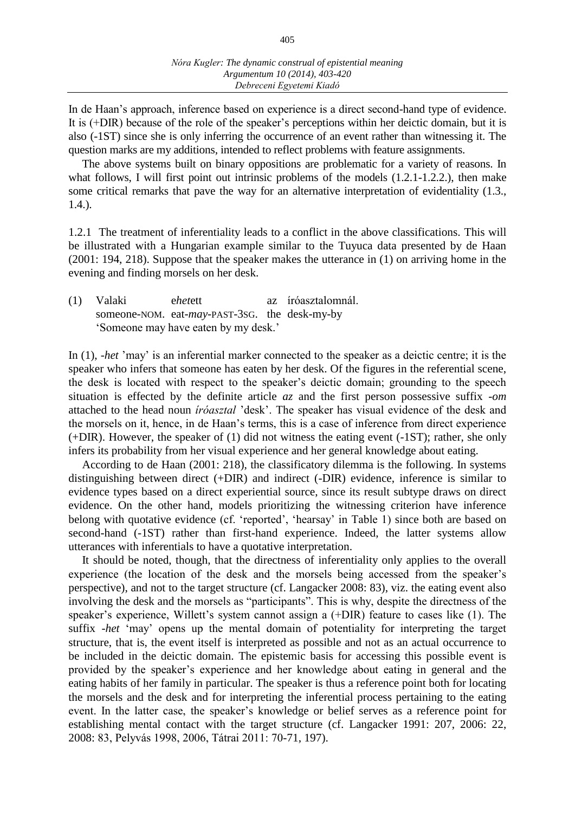In de Haan's approach, inference based on experience is a direct second-hand type of evidence. It is (+DIR) because of the role of the speaker's perceptions within her deictic domain, but it is also (-1ST) since she is only inferring the occurrence of an event rather than witnessing it. The question marks are my additions, intended to reflect problems with feature assignments.

The above systems built on binary oppositions are problematic for a variety of reasons. In what follows, I will first point out intrinsic problems of the models  $(1.2.1-1.2.2)$ , then make some critical remarks that pave the way for an alternative interpretation of evidentiality (1.3., 1.4.).

1.2.1 The treatment of inferentiality leads to a conflict in the above classifications. This will be illustrated with a Hungarian example similar to the Tuyuca data presented by de Haan (2001: 194, 218). Suppose that the speaker makes the utterance in (1) on arriving home in the evening and finding morsels on her desk.

(1) Valaki e*het*ett az íróasztalomnál. someone-NOM. eat-*may*-PAST-3SG. the desk-my-by 'Someone may have eaten by my desk.'

In (1), -*het* 'may' is an inferential marker connected to the speaker as a deictic centre; it is the speaker who infers that someone has eaten by her desk. Of the figures in the referential scene, the desk is located with respect to the speaker's deictic domain; grounding to the speech situation is effected by the definite article *az* and the first person possessive suffix -*om* attached to the head noun *íróasztal* 'desk'. The speaker has visual evidence of the desk and the morsels on it, hence, in de Haan's terms, this is a case of inference from direct experience (+DIR). However, the speaker of (1) did not witness the eating event (-1ST); rather, she only infers its probability from her visual experience and her general knowledge about eating.

According to de Haan (2001: 218), the classificatory dilemma is the following. In systems distinguishing between direct (+DIR) and indirect (-DIR) evidence, inference is similar to evidence types based on a direct experiential source, since its result subtype draws on direct evidence. On the other hand, models prioritizing the witnessing criterion have inference belong with quotative evidence (cf. 'reported', 'hearsay' in Table 1) since both are based on second-hand (-1ST) rather than first-hand experience. Indeed, the latter systems allow utterances with inferentials to have a quotative interpretation.

It should be noted, though, that the directness of inferentiality only applies to the overall experience (the location of the desk and the morsels being accessed from the speaker's perspective), and not to the target structure (cf. Langacker 2008: 83), viz. the eating event also involving the desk and the morsels as "participants". This is why, despite the directness of the speaker's experience, Willett's system cannot assign a (+DIR) feature to cases like (1). The suffix -*het* 'may' opens up the mental domain of potentiality for interpreting the target structure, that is, the event itself is interpreted as possible and not as an actual occurrence to be included in the deictic domain. The epistemic basis for accessing this possible event is provided by the speaker's experience and her knowledge about eating in general and the eating habits of her family in particular. The speaker is thus a reference point both for locating the morsels and the desk and for interpreting the inferential process pertaining to the eating event. In the latter case, the speaker's knowledge or belief serves as a reference point for establishing mental contact with the target structure (cf. Langacker 1991: 207, 2006: 22, 2008: 83, Pelyvás 1998, 2006, Tátrai 2011: 70-71, 197).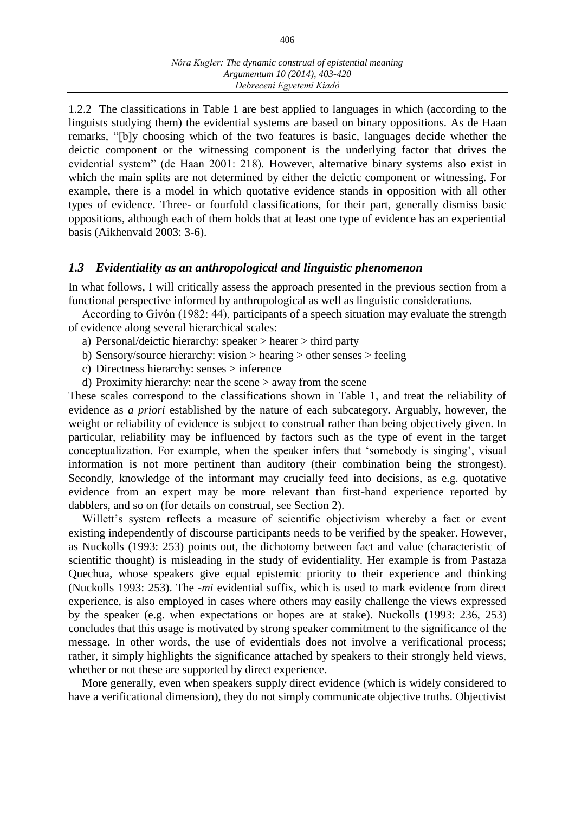1.2.2 The classifications in Table 1 are best applied to languages in which (according to the linguists studying them) the evidential systems are based on binary oppositions. As de Haan remarks, "[b]y choosing which of the two features is basic, languages decide whether the deictic component or the witnessing component is the underlying factor that drives the evidential system" (de Haan 2001: 218). However, alternative binary systems also exist in which the main splits are not determined by either the deictic component or witnessing. For example, there is a model in which quotative evidence stands in opposition with all other types of evidence. Three- or fourfold classifications, for their part, generally dismiss basic oppositions, although each of them holds that at least one type of evidence has an experiential basis (Aikhenvald 2003: 3-6).

#### *1.3 Evidentiality as an anthropological and linguistic phenomenon*

In what follows, I will critically assess the approach presented in the previous section from a functional perspective informed by anthropological as well as linguistic considerations.

According to Givón (1982: 44), participants of a speech situation may evaluate the strength of evidence along several hierarchical scales:

- a) Personal/deictic hierarchy: speaker > hearer > third party
- b) Sensory/source hierarchy: vision > hearing > other senses > feeling
- c) Directness hierarchy: senses > inference
- d) Proximity hierarchy: near the scene > away from the scene

These scales correspond to the classifications shown in Table 1, and treat the reliability of evidence as *a priori* established by the nature of each subcategory. Arguably, however, the weight or reliability of evidence is subject to construal rather than being objectively given. In particular, reliability may be influenced by factors such as the type of event in the target conceptualization. For example, when the speaker infers that 'somebody is singing', visual information is not more pertinent than auditory (their combination being the strongest). Secondly, knowledge of the informant may crucially feed into decisions, as e.g. quotative evidence from an expert may be more relevant than first-hand experience reported by dabblers, and so on (for details on construal, see Section 2).

Willett's system reflects a measure of scientific objectivism whereby a fact or event existing independently of discourse participants needs to be verified by the speaker. However, as Nuckolls (1993: 253) points out, the dichotomy between fact and value (characteristic of scientific thought) is misleading in the study of evidentiality. Her example is from Pastaza Quechua, whose speakers give equal epistemic priority to their experience and thinking (Nuckolls 1993: 253). The -*mi* evidential suffix, which is used to mark evidence from direct experience, is also employed in cases where others may easily challenge the views expressed by the speaker (e.g. when expectations or hopes are at stake). Nuckolls (1993: 236, 253) concludes that this usage is motivated by strong speaker commitment to the significance of the message. In other words, the use of evidentials does not involve a verificational process; rather, it simply highlights the significance attached by speakers to their strongly held views, whether or not these are supported by direct experience.

More generally, even when speakers supply direct evidence (which is widely considered to have a verificational dimension), they do not simply communicate objective truths. Objectivist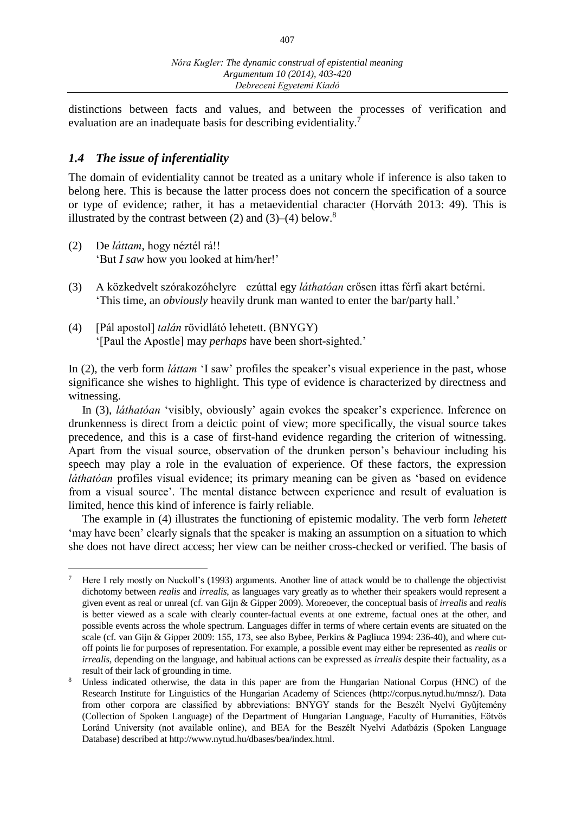distinctions between facts and values, and between the processes of verification and evaluation are an inadequate basis for describing evidentiality.<sup>7</sup>

## *1.4 The issue of inferentiality*

The domain of evidentiality cannot be treated as a unitary whole if inference is also taken to belong here. This is because the latter process does not concern the specification of a source or type of evidence; rather, it has a metaevidential character (Horváth 2013: 49). This is illustrated by the contrast between (2) and (3)–(4) below.<sup>8</sup>

- (2) De *láttam*, hogy néztél rá!! 'But *I saw* how you looked at him/her!'
- (3) A közkedvelt szórakozóhelyre ezúttal egy *láthatóan* erősen ittas férfi akart betérni. 'This time, an *obviously* heavily drunk man wanted to enter the bar/party hall.'
- (4) [Pál apostol] *talán* rövidlátó lehetett. (BNYGY) '[Paul the Apostle] may *perhaps* have been short-sighted.'

In (2), the verb form *láttam* 'I saw' profiles the speaker's visual experience in the past, whose significance she wishes to highlight. This type of evidence is characterized by directness and witnessing.

In (3), *láthatóan* 'visibly, obviously' again evokes the speaker's experience. Inference on drunkenness is direct from a deictic point of view; more specifically, the visual source takes precedence, and this is a case of first-hand evidence regarding the criterion of witnessing. Apart from the visual source, observation of the drunken person's behaviour including his speech may play a role in the evaluation of experience. Of these factors, the expression *láthatóan* profiles visual evidence; its primary meaning can be given as 'based on evidence from a visual source'. The mental distance between experience and result of evaluation is limited, hence this kind of inference is fairly reliable.

The example in (4) illustrates the functioning of epistemic modality. The verb form *lehetett* 'may have been' clearly signals that the speaker is making an assumption on a situation to which she does not have direct access; her view can be neither cross-checked or verified. The basis of

 $\overline{a}$ <sup>7</sup> Here I rely mostly on Nuckoll's (1993) arguments. Another line of attack would be to challenge the objectivist dichotomy between *realis* and *irrealis*, as languages vary greatly as to whether their speakers would represent a given event as real or unreal (cf. van Gijn & Gipper 2009). Moreoever, the conceptual basis of *irrealis* and *realis* is better viewed as a scale with clearly counter-factual events at one extreme, factual ones at the other, and possible events across the whole spectrum. Languages differ in terms of where certain events are situated on the scale (cf. van Gijn & Gipper 2009: 155, 173, see also Bybee, Perkins & Pagliuca 1994: 236-40), and where cutoff points lie for purposes of representation. For example, a possible event may either be represented as *realis* or *irrealis*, depending on the language, and habitual actions can be expressed as *irrealis* despite their factuality, as a result of their lack of grounding in time.

Unless indicated otherwise, the data in this paper are from the Hungarian National Corpus (HNC) of the Research Institute for Linguistics of the Hungarian Academy of Sciences (http://corpus.nytud.hu/mnsz/). Data from other corpora are classified by abbreviations: BNYGY stands for the Beszélt Nyelvi Gyűjtemény (Collection of Spoken Language) of the Department of Hungarian Language, Faculty of Humanities, Eötvös Loránd University (not available online), and BEA for the Beszélt Nyelvi Adatbázis (Spoken Language Database) described at http://www.nytud.hu/dbases/bea/index.html.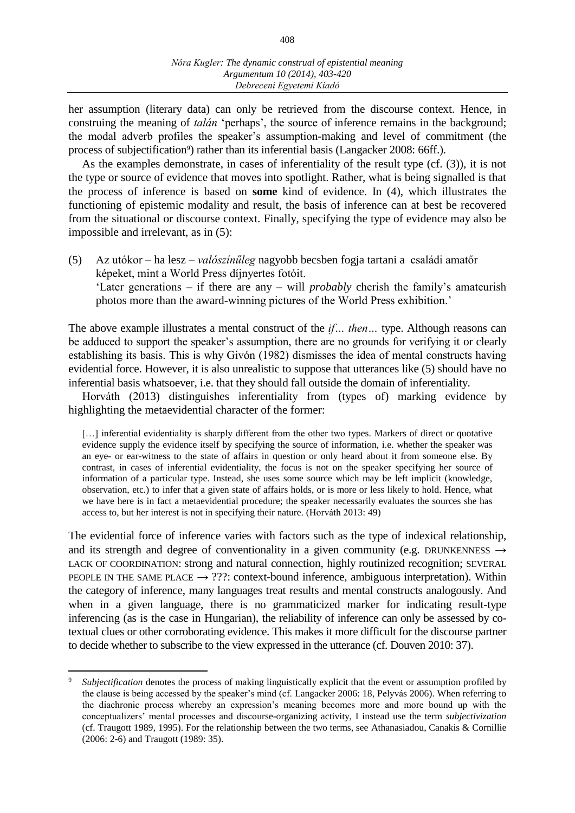her assumption (literary data) can only be retrieved from the discourse context. Hence, in construing the meaning of *talán* 'perhaps', the source of inference remains in the background; the modal adverb profiles the speaker's assumption-making and level of commitment (the process of subjectification<sup>9</sup>) rather than its inferential basis (Langacker 2008: 66ff.).

As the examples demonstrate, in cases of inferentiality of the result type (cf. (3)), it is not the type or source of evidence that moves into spotlight. Rather, what is being signalled is that the process of inference is based on **some** kind of evidence. In (4), which illustrates the functioning of epistemic modality and result, the basis of inference can at best be recovered from the situational or discourse context. Finally, specifying the type of evidence may also be impossible and irrelevant, as in (5):

(5) Az utókor – ha lesz – *valószínűleg* nagyobb becsben fogja tartani a családi amatőr képeket, mint a World Press díjnyertes fotóit. 'Later generations – if there are any – will *probably* cherish the family's amateurish photos more than the award-winning pictures of the World Press exhibition.'

The above example illustrates a mental construct of the *if… then…* type. Although reasons can be adduced to support the speaker's assumption, there are no grounds for verifying it or clearly establishing its basis. This is why Givón (1982) dismisses the idea of mental constructs having evidential force. However, it is also unrealistic to suppose that utterances like (5) should have no inferential basis whatsoever, i.e. that they should fall outside the domain of inferentiality.

Horváth (2013) distinguishes inferentiality from (types of) marking evidence by highlighting the metaevidential character of the former:

[...] inferential evidentiality is sharply different from the other two types. Markers of direct or quotative evidence supply the evidence itself by specifying the source of information, i.e. whether the speaker was an eye- or ear-witness to the state of affairs in question or only heard about it from someone else. By contrast, in cases of inferential evidentiality, the focus is not on the speaker specifying her source of information of a particular type. Instead, she uses some source which may be left implicit (knowledge, observation, etc.) to infer that a given state of affairs holds, or is more or less likely to hold. Hence, what we have here is in fact a metaevidential procedure; the speaker necessarily evaluates the sources she has access to, but her interest is not in specifying their nature. (Horváth 2013: 49)

The evidential force of inference varies with factors such as the type of indexical relationship, and its strength and degree of conventionality in a given community (e.g. DRUNKENNESS  $\rightarrow$ LACK OF COORDINATION: strong and natural connection, highly routinized recognition; SEVERAL PEOPLE IN THE SAME PLACE  $\rightarrow$  ???: context-bound inference, ambiguous interpretation). Within the category of inference, many languages treat results and mental constructs analogously. And when in a given language, there is no grammaticized marker for indicating result-type inferencing (as is the case in Hungarian), the reliability of inference can only be assessed by cotextual clues or other corroborating evidence. This makes it more difficult for the discourse partner to decide whether to subscribe to the view expressed in the utterance (cf. Douven 2010: 37).

 $\overline{a}$ 

*Subjectification* denotes the process of making linguistically explicit that the event or assumption profiled by the clause is being accessed by the speaker's mind (cf. Langacker 2006: 18, Pelyvás 2006). When referring to the diachronic process whereby an expression's meaning becomes more and more bound up with the conceptualizers' mental processes and discourse-organizing activity, I instead use the term *subjectivization* (cf. Traugott 1989, 1995). For the relationship between the two terms, see Athanasiadou, Canakis & Cornillie (2006: 2-6) and Traugott (1989: 35).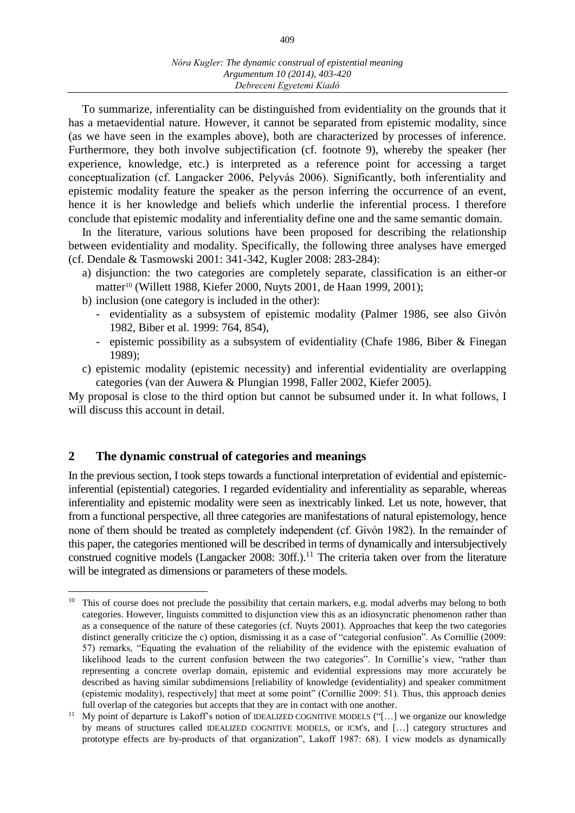To summarize, inferentiality can be distinguished from evidentiality on the grounds that it has a metaevidential nature. However, it cannot be separated from epistemic modality, since (as we have seen in the examples above), both are characterized by processes of inference. Furthermore, they both involve subjectification (cf. footnote 9), whereby the speaker (her experience, knowledge, etc.) is interpreted as a reference point for accessing a target conceptualization (cf. Langacker 2006, Pelyvás 2006). Significantly, both inferentiality and epistemic modality feature the speaker as the person inferring the occurrence of an event, hence it is her knowledge and beliefs which underlie the inferential process. I therefore conclude that epistemic modality and inferentiality define one and the same semantic domain.

In the literature, various solutions have been proposed for describing the relationship between evidentiality and modality. Specifically, the following three analyses have emerged (cf. Dendale & Tasmowski 2001: 341-342, Kugler 2008: 283-284):

- a) disjunction: the two categories are completely separate, classification is an either-or matter<sup>10</sup> (Willett 1988, Kiefer 2000, Nuyts 2001, de Haan 1999, 2001);
- b) inclusion (one category is included in the other):
	- evidentiality as a subsystem of epistemic modality (Palmer 1986, see also Givón 1982, Biber et al. 1999: 764, 854),
	- epistemic possibility as a subsystem of evidentiality (Chafe 1986, Biber & Finegan 1989);
- c) epistemic modality (epistemic necessity) and inferential evidentiality are overlapping categories (van der Auwera & Plungian 1998, Faller 2002, Kiefer 2005).

My proposal is close to the third option but cannot be subsumed under it. In what follows, I will discuss this account in detail.

#### **2 The dynamic construal of categories and meanings**

In the previous section, I took steps towards a functional interpretation of evidential and epistemicinferential (epistential) categories. I regarded evidentiality and inferentiality as separable, whereas inferentiality and epistemic modality were seen as inextricably linked. Let us note, however, that from a functional perspective, all three categories are manifestations of natural epistemology, hence none of them should be treated as completely independent (cf. Givón 1982). In the remainder of this paper, the categories mentioned will be described in terms of dynamically and intersubjectively construed cognitive models (Langacker 2008:  $30ff$ ).<sup>11</sup> The criteria taken over from the literature will be integrated as dimensions or parameters of these models.

 $\overline{a}$ <sup>10</sup> This of course does not preclude the possibility that certain markers, e.g. modal adverbs may belong to both categories. However, linguists committed to disjunction view this as an idiosyncratic phenomenon rather than as a consequence of the nature of these categories (cf. Nuyts 2001). Approaches that keep the two categories distinct generally criticize the c) option, dismissing it as a case of "categorial confusion". As Cornillie (2009: 57) remarks, "Equating the evaluation of the reliability of the evidence with the epistemic evaluation of likelihood leads to the current confusion between the two categories". In Cornillie's view, "rather than representing a concrete overlap domain, epistemic and evidential expressions may more accurately be described as having similar subdimensions [reliability of knowledge (evidentiality) and speaker commitment (epistemic modality), respectively] that meet at some point" (Cornillie 2009: 51). Thus, this approach denies full overlap of the categories but accepts that they are in contact with one another.

<sup>&</sup>lt;sup>11</sup> My point of departure is Lakoff's notion of IDEALIZED COGNITIVE MODELS ("[...] we organize our knowledge by means of structures called IDEALIZED COGNITIVE MODELS, or ICM's, and […] category structures and prototype effects are by-products of that organization", Lakoff 1987: 68). I view models as dynamically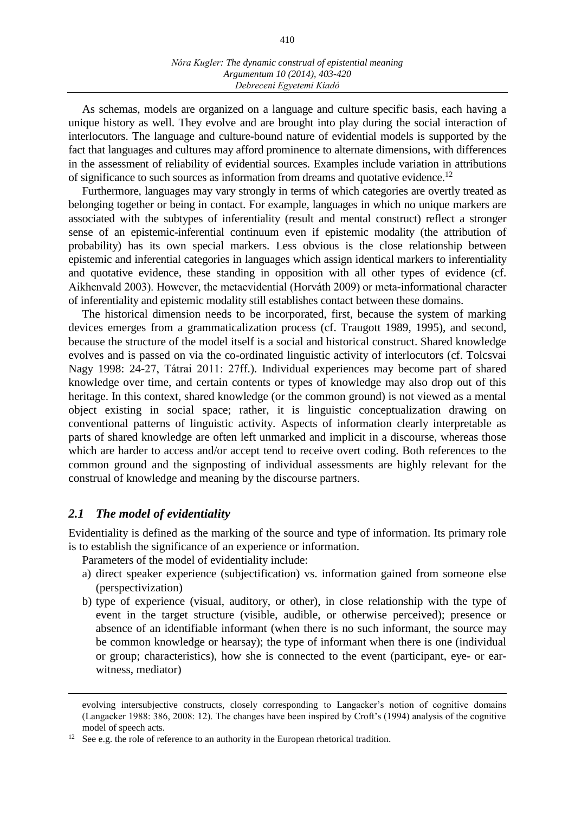As schemas, models are organized on a language and culture specific basis, each having a unique history as well. They evolve and are brought into play during the social interaction of interlocutors. The language and culture-bound nature of evidential models is supported by the fact that languages and cultures may afford prominence to alternate dimensions, with differences in the assessment of reliability of evidential sources. Examples include variation in attributions of significance to such sources as information from dreams and quotative evidence.<sup>12</sup>

Furthermore, languages may vary strongly in terms of which categories are overtly treated as belonging together or being in contact. For example, languages in which no unique markers are associated with the subtypes of inferentiality (result and mental construct) reflect a stronger sense of an epistemic-inferential continuum even if epistemic modality (the attribution of probability) has its own special markers. Less obvious is the close relationship between epistemic and inferential categories in languages which assign identical markers to inferentiality and quotative evidence, these standing in opposition with all other types of evidence (cf. Aikhenvald 2003). However, the metaevidential (Horváth 2009) or meta-informational character of inferentiality and epistemic modality still establishes contact between these domains.

The historical dimension needs to be incorporated, first, because the system of marking devices emerges from a grammaticalization process (cf. Traugott 1989, 1995), and second, because the structure of the model itself is a social and historical construct. Shared knowledge evolves and is passed on via the co-ordinated linguistic activity of interlocutors (cf. Tolcsvai Nagy 1998: 24-27, Tátrai 2011: 27ff.). Individual experiences may become part of shared knowledge over time, and certain contents or types of knowledge may also drop out of this heritage. In this context, shared knowledge (or the common ground) is not viewed as a mental object existing in social space; rather, it is linguistic conceptualization drawing on conventional patterns of linguistic activity. Aspects of information clearly interpretable as parts of shared knowledge are often left unmarked and implicit in a discourse, whereas those which are harder to access and/or accept tend to receive overt coding. Both references to the common ground and the signposting of individual assessments are highly relevant for the construal of knowledge and meaning by the discourse partners.

#### *2.1 The model of evidentiality*

 $\overline{a}$ 

Evidentiality is defined as the marking of the source and type of information. Its primary role is to establish the significance of an experience or information.

Parameters of the model of evidentiality include:

- a) direct speaker experience (subjectification) vs. information gained from someone else (perspectivization)
- b) type of experience (visual, auditory, or other), in close relationship with the type of event in the target structure (visible, audible, or otherwise perceived); presence or absence of an identifiable informant (when there is no such informant, the source may be common knowledge or hearsay); the type of informant when there is one (individual or group; characteristics), how she is connected to the event (participant, eye- or earwitness, mediator)

evolving intersubjective constructs, closely corresponding to Langacker's notion of cognitive domains (Langacker 1988: 386, 2008: 12). The changes have been inspired by Croft's (1994) analysis of the cognitive model of speech acts.

<sup>&</sup>lt;sup>12</sup> See e.g. the role of reference to an authority in the European rhetorical tradition.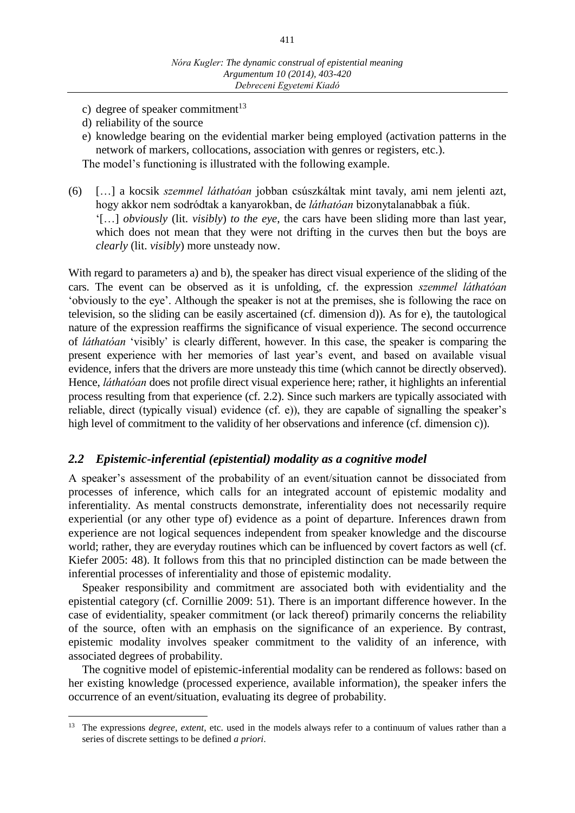- c) degree of speaker commitment<sup>13</sup>
- d) reliability of the source

 $\overline{a}$ 

- e) knowledge bearing on the evidential marker being employed (activation patterns in the network of markers, collocations, association with genres or registers, etc.). The model's functioning is illustrated with the following example.
- (6) […] a kocsik *szemmel láthatóan* jobban csúszkáltak mint tavaly, ami nem jelenti azt, hogy akkor nem sodródtak a kanyarokban, de *láthatóan* bizonytalanabbak a fiúk. '[…] *obviously* (lit. *visibly*) *to the eye*, the cars have been sliding more than last year, which does not mean that they were not drifting in the curves then but the boys are *clearly* (lit. *visibly*) more unsteady now.

With regard to parameters a) and b), the speaker has direct visual experience of the sliding of the cars. The event can be observed as it is unfolding, cf. the expression *szemmel láthatóan* 'obviously to the eye'. Although the speaker is not at the premises, she is following the race on television, so the sliding can be easily ascertained (cf. dimension d)). As for e), the tautological nature of the expression reaffirms the significance of visual experience. The second occurrence of *láthatóan* 'visibly' is clearly different, however. In this case, the speaker is comparing the present experience with her memories of last year's event, and based on available visual evidence, infers that the drivers are more unsteady this time (which cannot be directly observed). Hence, *láthatóan* does not profile direct visual experience here; rather, it highlights an inferential process resulting from that experience (cf. 2.2). Since such markers are typically associated with reliable, direct (typically visual) evidence (cf. e)), they are capable of signalling the speaker's high level of commitment to the validity of her observations and inference (cf. dimension c)).

### *2.2 Epistemic-inferential (epistential) modality as a cognitive model*

A speaker's assessment of the probability of an event/situation cannot be dissociated from processes of inference, which calls for an integrated account of epistemic modality and inferentiality. As mental constructs demonstrate, inferentiality does not necessarily require experiential (or any other type of) evidence as a point of departure. Inferences drawn from experience are not logical sequences independent from speaker knowledge and the discourse world; rather, they are everyday routines which can be influenced by covert factors as well (cf. Kiefer 2005: 48). It follows from this that no principled distinction can be made between the inferential processes of inferentiality and those of epistemic modality.

Speaker responsibility and commitment are associated both with evidentiality and the epistential category (cf. Cornillie 2009: 51). There is an important difference however. In the case of evidentiality, speaker commitment (or lack thereof) primarily concerns the reliability of the source, often with an emphasis on the significance of an experience. By contrast, epistemic modality involves speaker commitment to the validity of an inference, with associated degrees of probability.

The cognitive model of epistemic-inferential modality can be rendered as follows: based on her existing knowledge (processed experience, available information), the speaker infers the occurrence of an event/situation, evaluating its degree of probability.

<sup>13</sup> The expressions *degree*, *extent*, etc. used in the models always refer to a continuum of values rather than a series of discrete settings to be defined *a priori*.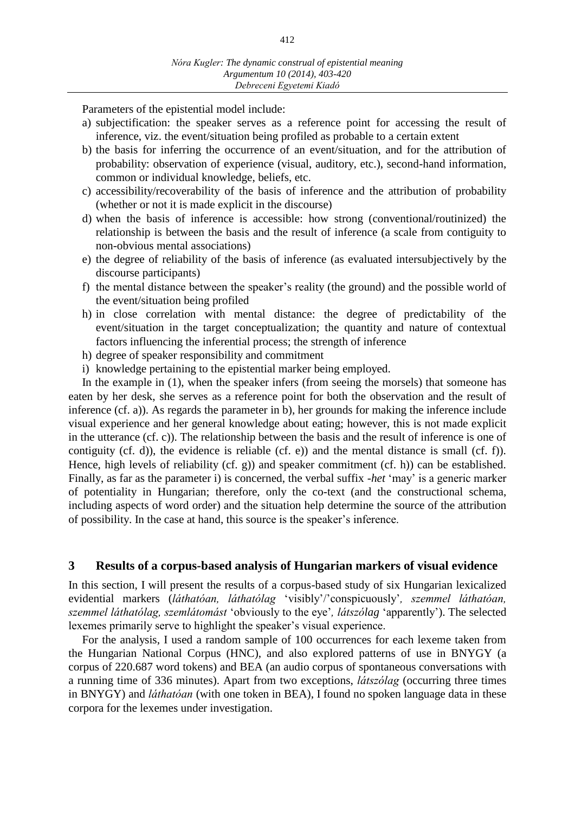Parameters of the epistential model include:

- a) subjectification: the speaker serves as a reference point for accessing the result of inference, viz. the event/situation being profiled as probable to a certain extent
- b) the basis for inferring the occurrence of an event/situation, and for the attribution of probability: observation of experience (visual, auditory, etc.), second-hand information, common or individual knowledge, beliefs, etc.
- c) accessibility/recoverability of the basis of inference and the attribution of probability (whether or not it is made explicit in the discourse)
- d) when the basis of inference is accessible: how strong (conventional/routinized) the relationship is between the basis and the result of inference (a scale from contiguity to non-obvious mental associations)
- e) the degree of reliability of the basis of inference (as evaluated intersubjectively by the discourse participants)
- f) the mental distance between the speaker's reality (the ground) and the possible world of the event/situation being profiled
- h) in close correlation with mental distance: the degree of predictability of the event/situation in the target conceptualization; the quantity and nature of contextual factors influencing the inferential process; the strength of inference
- h) degree of speaker responsibility and commitment
- i) knowledge pertaining to the epistential marker being employed.

In the example in (1), when the speaker infers (from seeing the morsels) that someone has eaten by her desk, she serves as a reference point for both the observation and the result of inference (cf. a)). As regards the parameter in b), her grounds for making the inference include visual experience and her general knowledge about eating; however, this is not made explicit in the utterance (cf. c)). The relationship between the basis and the result of inference is one of contiguity (cf. d)), the evidence is reliable (cf. e)) and the mental distance is small (cf. f)). Hence, high levels of reliability (cf. g)) and speaker commitment (cf. h)) can be established. Finally, as far as the parameter i) is concerned, the verbal suffix -*het* 'may' is a generic marker of potentiality in Hungarian; therefore, only the co-text (and the constructional schema, including aspects of word order) and the situation help determine the source of the attribution of possibility. In the case at hand, this source is the speaker's inference.

#### **3 Results of a corpus-based analysis of Hungarian markers of visual evidence**

In this section, I will present the results of a corpus-based study of six Hungarian lexicalized evidential markers (*láthatóan, láthatólag* 'visibly'/'conspicuously'*, szemmel láthatóan, szemmel láthatólag, szemlátomást* 'obviously to the eye'*, látszólag* 'apparently'). The selected lexemes primarily serve to highlight the speaker's visual experience.

For the analysis, I used a random sample of 100 occurrences for each lexeme taken from the Hungarian National Corpus (HNC), and also explored patterns of use in BNYGY (a corpus of 220.687 word tokens) and BEA (an audio corpus of spontaneous conversations with a running time of 336 minutes). Apart from two exceptions, *látszólag* (occurring three times in BNYGY) and *láthatóan* (with one token in BEA), I found no spoken language data in these corpora for the lexemes under investigation.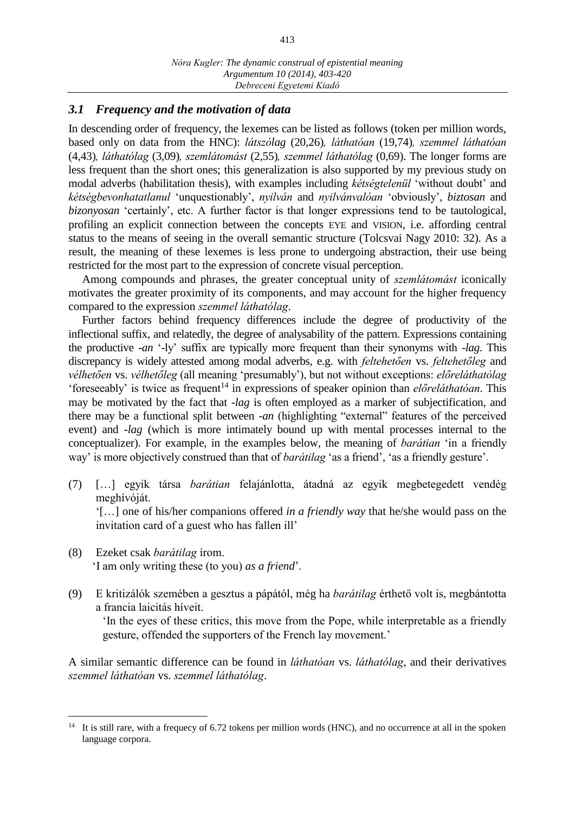#### *3.1 Frequency and the motivation of data*

In descending order of frequency, the lexemes can be listed as follows (token per million words, based only on data from the HNC): *látszólag* (20,26)*, láthatóan* (19,74)*, szemmel láthatóan*  (4,43)*, láthatólag* (3,09)*, szemlátomást* (2,55)*, szemmel láthatólag* (0,69). The longer forms are less frequent than the short ones; this generalization is also supported by my previous study on modal adverbs (habilitation thesis), with examples including *kétségtelenül* 'without doubt' and *kétségbevonhatatlanul* 'unquestionably', *nyilván* and *nyilvánvalóan* 'obviously', *biztosan* and *bizonyosan* 'certainly', etc. A further factor is that longer expressions tend to be tautological, profiling an explicit connection between the concepts EYE and VISION, i.e. affording central status to the means of seeing in the overall semantic structure (Tolcsvai Nagy 2010: 32). As a result, the meaning of these lexemes is less prone to undergoing abstraction, their use being restricted for the most part to the expression of concrete visual perception.

Among compounds and phrases, the greater conceptual unity of *szemlátomást* iconically motivates the greater proximity of its components, and may account for the higher frequency compared to the expression *szemmel láthatólag*.

Further factors behind frequency differences include the degree of productivity of the inflectional suffix, and relatedly, the degree of analysability of the pattern. Expressions containing the productive -*an* '-ly' suffix are typically more frequent than their synonyms with -*lag*. This discrepancy is widely attested among modal adverbs, e.g. with *feltehetően* vs. *feltehetőleg* and *vélhetően* vs. *vélhetőleg* (all meaning 'presumably'), but not without exceptions: *előreláthatólag* 'foreseeably' is twice as frequent<sup>14</sup> in expressions of speaker opinion than  $el\ddot{\alpha}$ *eláthatóan*. This may be motivated by the fact that -*lag* is often employed as a marker of subjectification, and there may be a functional split between -*an* (highlighting "external" features of the perceived event) and -*lag* (which is more intimately bound up with mental processes internal to the conceptualizer). For example, in the examples below, the meaning of *barátian* 'in a friendly way' is more objectively construed than that of *barátilag* 'as a friend', 'as a friendly gesture'.

- (7) […] egyik társa *barátian* felajánlotta, átadná az egyik megbetegedett vendég meghívóját. '[…] one of his/her companions offered *in a friendly way* that he/she would pass on the invitation card of a guest who has fallen ill'
- (8) Ezeket csak *barátilag* írom. 'I am only writing these (to you) *as a friend*'.

 $\overline{a}$ 

(9) E kritizálók szemében a gesztus a pápától, még ha *barátilag* érthető volt is, megbántotta a francia laicitás híveit.

'In the eyes of these critics, this move from the Pope, while interpretable as a friendly gesture, offended the supporters of the French lay movement.'

A similar semantic difference can be found in *láthatóan* vs. *láthatólag*, and their derivatives *szemmel láthatóan* vs. *szemmel láthatólag*.

<sup>&</sup>lt;sup>14</sup> It is still rare, with a frequecy of 6.72 tokens per million words (HNC), and no occurrence at all in the spoken language corpora.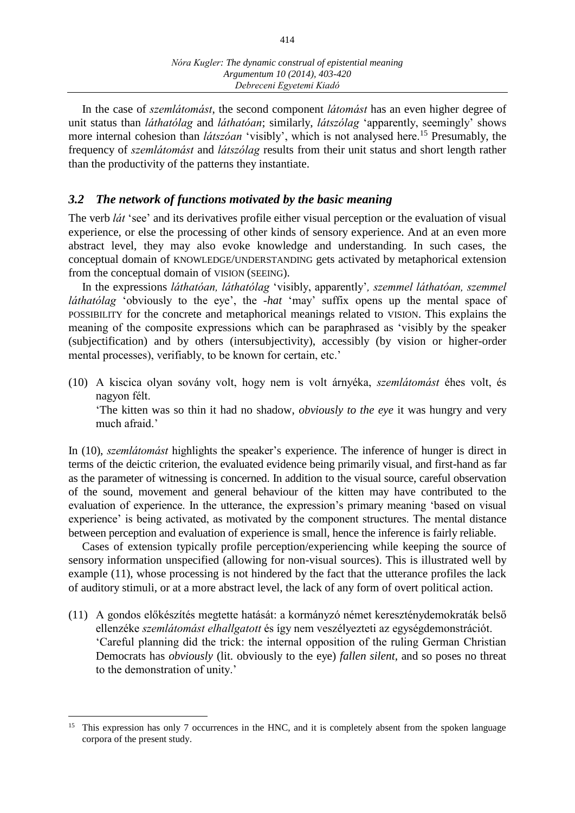In the case of *szemlátomást*, the second component *látomást* has an even higher degree of unit status than *láthatólag* and *láthatóan*; similarly, *látszólag* 'apparently, seemingly' shows more internal cohesion than *látszóan* 'visibly', which is not analysed here.<sup>15</sup> Presumably, the frequency of *szemlátomást* and *látszólag* results from their unit status and short length rather than the productivity of the patterns they instantiate.

#### *3.2 The network of functions motivated by the basic meaning*

The verb *lát* 'see' and its derivatives profile either visual perception or the evaluation of visual experience, or else the processing of other kinds of sensory experience. And at an even more abstract level, they may also evoke knowledge and understanding. In such cases, the conceptual domain of KNOWLEDGE/UNDERSTANDING gets activated by metaphorical extension from the conceptual domain of VISION (SEEING).

In the expressions *láthatóan, láthatólag* 'visibly, apparently'*, szemmel láthatóan, szemmel láthatólag* 'obviously to the eye', the -*hat* 'may' suffix opens up the mental space of POSSIBILITY for the concrete and metaphorical meanings related to VISION. This explains the meaning of the composite expressions which can be paraphrased as 'visibly by the speaker (subjectification) and by others (intersubjectivity), accessibly (by vision or higher-order mental processes), verifiably, to be known for certain, etc.'

(10) A kiscica olyan sovány volt, hogy nem is volt árnyéka, *szemlátomást* éhes volt, és nagyon félt.

'The kitten was so thin it had no shadow, *obviously to the eye* it was hungry and very much afraid.

In (10), *szemlátomást* highlights the speaker's experience. The inference of hunger is direct in terms of the deictic criterion, the evaluated evidence being primarily visual, and first-hand as far as the parameter of witnessing is concerned. In addition to the visual source, careful observation of the sound, movement and general behaviour of the kitten may have contributed to the evaluation of experience. In the utterance, the expression's primary meaning 'based on visual experience' is being activated, as motivated by the component structures. The mental distance between perception and evaluation of experience is small, hence the inference is fairly reliable.

Cases of extension typically profile perception/experiencing while keeping the source of sensory information unspecified (allowing for non-visual sources). This is illustrated well by example (11), whose processing is not hindered by the fact that the utterance profiles the lack of auditory stimuli, or at a more abstract level, the lack of any form of overt political action.

(11) A gondos előkészítés megtette hatását: a kormányzó német kereszténydemokraták belső ellenzéke *szemlátomást elhallgatott* és így nem veszélyezteti az egységdemonstrációt. 'Careful planning did the trick: the internal opposition of the ruling German Christian Democrats has *obviously* (lit. obviously to the eye) *fallen silent*, and so poses no threat to the demonstration of unity.'

 $\overline{a}$ 

<sup>&</sup>lt;sup>15</sup> This expression has only 7 occurrences in the HNC, and it is completely absent from the spoken language corpora of the present study.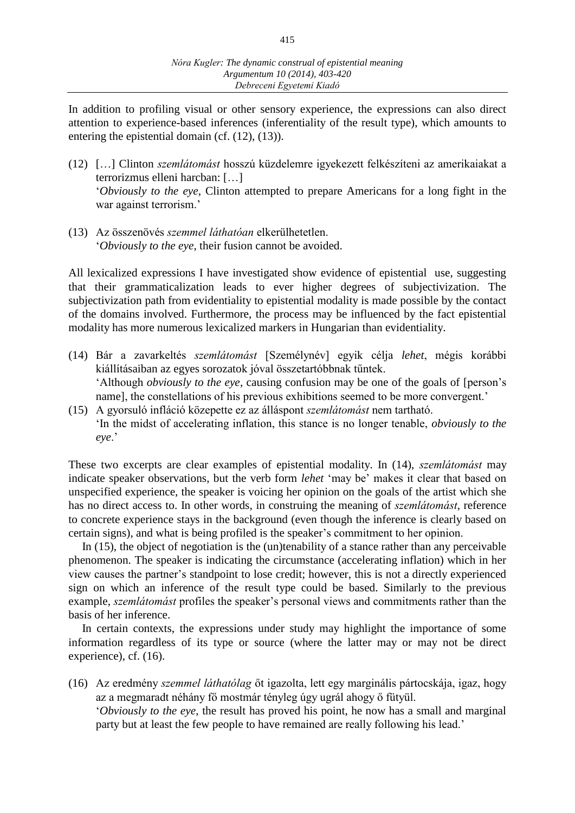In addition to profiling visual or other sensory experience, the expressions can also direct attention to experience-based inferences (inferentiality of the result type), which amounts to entering the epistential domain (cf. (12), (13)).

- (12) […] Clinton *szemlátomást* hosszú küzdelemre igyekezett felkészíteni az amerikaiakat a terrorizmus elleni harcban: […] '*Obviously to the eye*, Clinton attempted to prepare Americans for a long fight in the war against terrorism.'
- (13) Az összenövés *szemmel láthatóan* elkerülhetetlen. '*Obviously to the eye*, their fusion cannot be avoided.

All lexicalized expressions I have investigated show evidence of epistential use, suggesting that their grammaticalization leads to ever higher degrees of subjectivization. The subjectivization path from evidentiality to epistential modality is made possible by the contact of the domains involved. Furthermore, the process may be influenced by the fact epistential modality has more numerous lexicalized markers in Hungarian than evidentiality.

- (14) Bár a zavarkeltés *szemlátomást* [Személynév] egyik célja *lehet*, mégis korábbi kiállításaiban az egyes sorozatok jóval összetartóbbnak tűntek. 'Although *obviously to the eye*, causing confusion may be one of the goals of [person's name], the constellations of his previous exhibitions seemed to be more convergent.'
- (15) A gyorsuló infláció közepette ez az álláspont *szemlátomást* nem tartható. 'In the midst of accelerating inflation, this stance is no longer tenable, *obviously to the eye*.'

These two excerpts are clear examples of epistential modality. In (14), *szemlátomást* may indicate speaker observations, but the verb form *lehet* 'may be' makes it clear that based on unspecified experience, the speaker is voicing her opinion on the goals of the artist which she has no direct access to. In other words, in construing the meaning of *szemlátomást*, reference to concrete experience stays in the background (even though the inference is clearly based on certain signs), and what is being profiled is the speaker's commitment to her opinion.

In (15), the object of negotiation is the (un)tenability of a stance rather than any perceivable phenomenon. The speaker is indicating the circumstance (accelerating inflation) which in her view causes the partner's standpoint to lose credit; however, this is not a directly experienced sign on which an inference of the result type could be based. Similarly to the previous example, *szemlátomást* profiles the speaker's personal views and commitments rather than the basis of her inference.

In certain contexts, the expressions under study may highlight the importance of some information regardless of its type or source (where the latter may or may not be direct experience), cf. (16).

(16) Az eredmény *szemmel láthatólag* őt igazolta, lett egy marginális pártocskája, igaz, hogy az a megmaradt néhány fő mostmár tényleg úgy ugrál ahogy ő fütyül.

'*Obviously to the eye*, the result has proved his point, he now has a small and marginal party but at least the few people to have remained are really following his lead.'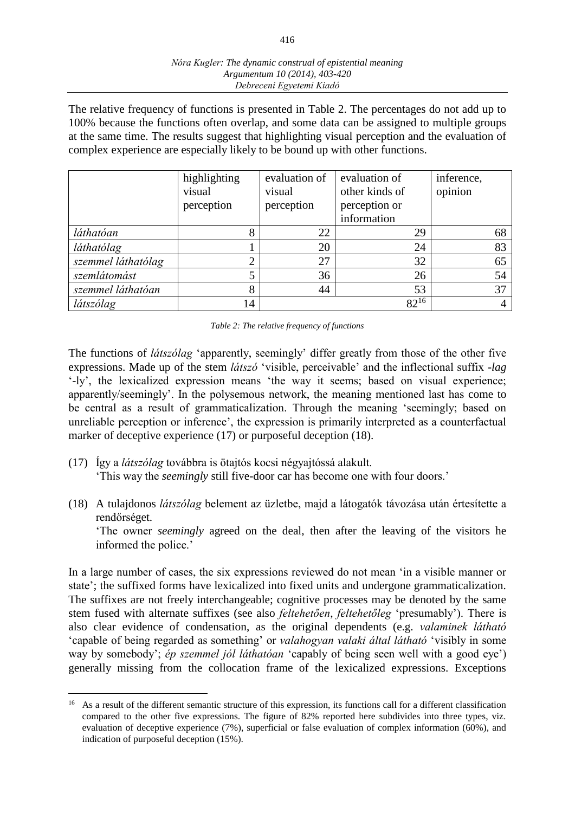The relative frequency of functions is presented in Table 2. The percentages do not add up to 100% because the functions often overlap, and some data can be assigned to multiple groups at the same time. The results suggest that highlighting visual perception and the evaluation of complex experience are especially likely to be bound up with other functions.

|                    | highlighting<br>visual<br>perception | evaluation of<br>visual<br>perception | evaluation of<br>other kinds of<br>perception or<br>information | inference,<br>opinion |
|--------------------|--------------------------------------|---------------------------------------|-----------------------------------------------------------------|-----------------------|
| láthatóan          | 8                                    | 22                                    | 29                                                              | 68                    |
| láthatólag         |                                      | 20                                    | 24                                                              | 83                    |
| szemmel láthatólag | ◠                                    | 27                                    | 32                                                              | 65                    |
| szemlátomást       |                                      | 36                                    | 26                                                              | 54                    |
| szemmel láthatóan  | 8                                    | 44                                    | 53                                                              | 37                    |
| látszólag          | 14                                   |                                       | $82^{16}$                                                       | 4                     |

The functions of *látszólag* 'apparently, seemingly' differ greatly from those of the other five expressions. Made up of the stem *látszó* 'visible, perceivable' and the inflectional suffix -*lag* '-ly', the lexicalized expression means 'the way it seems; based on visual experience; apparently/seemingly'. In the polysemous network, the meaning mentioned last has come to be central as a result of grammaticalization. Through the meaning 'seemingly; based on unreliable perception or inference', the expression is primarily interpreted as a counterfactual marker of deceptive experience (17) or purposeful deception (18).

- (17) Így a *látszólag* továbbra is ötajtós kocsi négyajtóssá alakult. 'This way the *seemingly* still five-door car has become one with four doors.'
- (18) A tulajdonos *látszólag* belement az üzletbe, majd a látogatók távozása után értesítette a rendőrséget.

'The owner *seemingly* agreed on the deal, then after the leaving of the visitors he informed the police.'

In a large number of cases, the six expressions reviewed do not mean 'in a visible manner or state'; the suffixed forms have lexicalized into fixed units and undergone grammaticalization. The suffixes are not freely interchangeable; cognitive processes may be denoted by the same stem fused with alternate suffixes (see also *feltehetően*, *feltehetőleg* 'presumably'). There is also clear evidence of condensation, as the original dependents (e.g. *valaminek látható* 'capable of being regarded as something' or *valahogyan valaki által látható* 'visibly in some way by somebody'; *ép szemmel jól láthatóan* 'capably of being seen well with a good eye') generally missing from the collocation frame of the lexicalized expressions. Exceptions

 $\overline{a}$ 

<sup>&</sup>lt;sup>16</sup> As a result of the different semantic structure of this expression, its functions call for a different classification compared to the other five expressions. The figure of 82% reported here subdivides into three types, viz. evaluation of deceptive experience (7%), superficial or false evaluation of complex information (60%), and indication of purposeful deception (15%).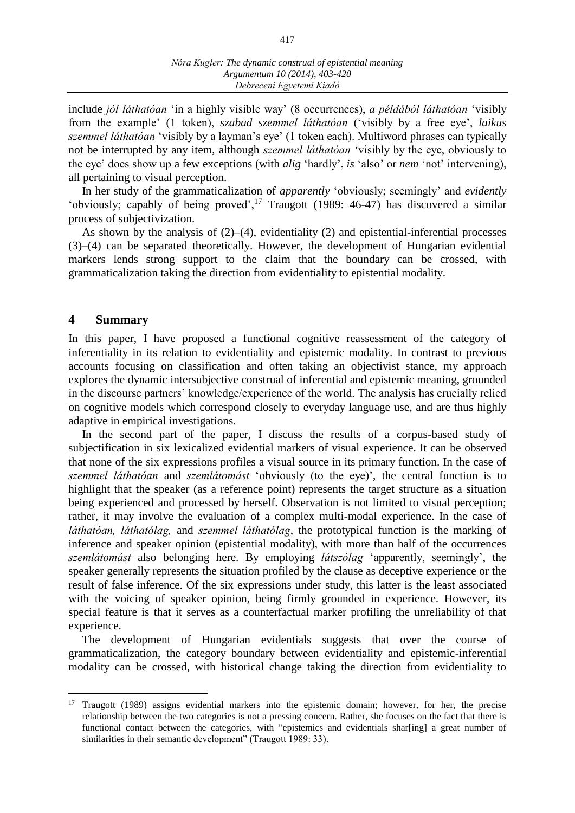include *jól láthatóan* 'in a highly visible way' (8 occurrences), *a példából láthatóan* 'visibly from the example' (1 token), *szabad szemmel láthatóan* ('visibly by a free eye', *laikus szemmel láthatóan* 'visibly by a layman's eye' (1 token each). Multiword phrases can typically not be interrupted by any item, although *szemmel láthatóan* 'visibly by the eye, obviously to the eye' does show up a few exceptions (with *alig* 'hardly', *is* 'also' or *nem* 'not' intervening), all pertaining to visual perception.

In her study of the grammaticalization of *apparently* 'obviously; seemingly' and *evidently* 'obviously; capably of being proved', $^{17}$  Traugott (1989: 46-47) has discovered a similar process of subjectivization.

As shown by the analysis of  $(2)$ – $(4)$ , evidentiality  $(2)$  and epistential-inferential processes (3)–(4) can be separated theoretically. However, the development of Hungarian evidential markers lends strong support to the claim that the boundary can be crossed, with grammaticalization taking the direction from evidentiality to epistential modality.

#### **4 Summary**

 $\overline{a}$ 

In this paper, I have proposed a functional cognitive reassessment of the category of inferentiality in its relation to evidentiality and epistemic modality. In contrast to previous accounts focusing on classification and often taking an objectivist stance, my approach explores the dynamic intersubjective construal of inferential and epistemic meaning, grounded in the discourse partners' knowledge/experience of the world. The analysis has crucially relied on cognitive models which correspond closely to everyday language use, and are thus highly adaptive in empirical investigations.

In the second part of the paper, I discuss the results of a corpus-based study of subjectification in six lexicalized evidential markers of visual experience. It can be observed that none of the six expressions profiles a visual source in its primary function. In the case of *szemmel láthatóan* and *szemlátomást* 'obviously (to the eye)', the central function is to highlight that the speaker (as a reference point) represents the target structure as a situation being experienced and processed by herself. Observation is not limited to visual perception; rather, it may involve the evaluation of a complex multi-modal experience. In the case of *láthatóan, láthatólag,* and *szemmel láthatólag*, the prototypical function is the marking of inference and speaker opinion (epistential modality), with more than half of the occurrences *szemlátomást* also belonging here. By employing *látszólag* 'apparently, seemingly', the speaker generally represents the situation profiled by the clause as deceptive experience or the result of false inference. Of the six expressions under study, this latter is the least associated with the voicing of speaker opinion, being firmly grounded in experience. However, its special feature is that it serves as a counterfactual marker profiling the unreliability of that experience.

The development of Hungarian evidentials suggests that over the course of grammaticalization, the category boundary between evidentiality and epistemic-inferential modality can be crossed, with historical change taking the direction from evidentiality to

<sup>&</sup>lt;sup>17</sup> Traugott (1989) assigns evidential markers into the epistemic domain; however, for her, the precise relationship between the two categories is not a pressing concern. Rather, she focuses on the fact that there is functional contact between the categories, with "epistemics and evidentials shar[ing] a great number of similarities in their semantic development" (Traugott 1989: 33).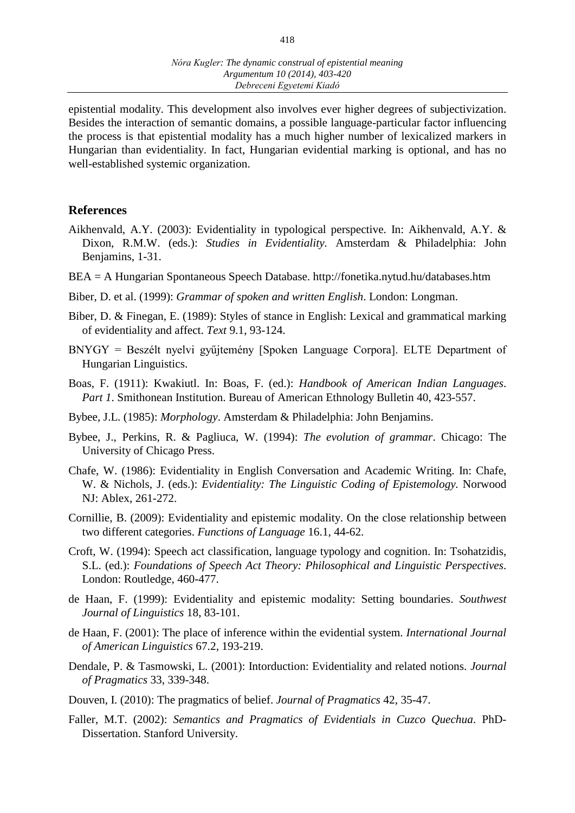epistential modality. This development also involves ever higher degrees of subjectivization. Besides the interaction of semantic domains, a possible language-particular factor influencing the process is that epistential modality has a much higher number of lexicalized markers in Hungarian than evidentiality. In fact, Hungarian evidential marking is optional, and has no well-established systemic organization.

#### **References**

- Aikhenvald, A.Y. (2003): Evidentiality in typological perspective. In: Aikhenvald, A.Y. & Dixon, R.M.W. (eds.): *Studies in Evidentiality.* Amsterdam & Philadelphia: John Benjamins, 1-31.
- BEA = A Hungarian Spontaneous Speech Database. http://fonetika.nytud.hu/databases.htm
- Biber, D. et al. (1999): *Grammar of spoken and written English*. London: Longman.
- Biber, D. & Finegan, E. (1989): Styles of stance in English: Lexical and grammatical marking of evidentiality and affect. *Text* 9.1, 93-124.
- BNYGY = Beszélt nyelvi gyűjtemény [Spoken Language Corpora]. ELTE Department of Hungarian Linguistics.
- Boas, F. (1911): Kwakiutl. In: Boas, F. (ed.): *Handbook of American Indian Languages*. *Part 1*. Smithonean Institution. Bureau of American Ethnology Bulletin 40, 423-557.
- Bybee, J.L. (1985): *Morphology*. Amsterdam & Philadelphia: John Benjamins.
- Bybee, J., Perkins, R. & Pagliuca, W. (1994): *The evolution of grammar*. Chicago: The University of Chicago Press.
- Chafe, W. (1986): Evidentiality in English Conversation and Academic Writing. In: Chafe, W. & Nichols, J. (eds.): *Evidentiality: The Linguistic Coding of Epistemology.* Norwood NJ: Ablex, 261-272.
- Cornillie, B. (2009): Evidentiality and epistemic modality. On the close relationship between two different categories. *Functions of Language* 16.1, 44-62.
- Croft, W. (1994): Speech act classification, language typology and cognition. In: Tsohatzidis, S.L. (ed.): *Foundations of Speech Act Theory: Philosophical and Linguistic Perspectives*. London: Routledge, 460-477.
- de Haan, F. (1999): Evidentiality and epistemic modality: Setting boundaries. *Southwest Journal of Linguistics* 18, 83-101.
- de Haan, F. (2001): The place of inference within the evidential system. *International Journal of American Linguistics* 67.2, 193-219.
- Dendale, P. & Tasmowski, L. (2001): Intorduction: Evidentiality and related notions. *Journal of Pragmatics* 33, 339-348.
- Douven, I. (2010): The pragmatics of belief. *Journal of Pragmatics* 42, 35-47.
- Faller, M.T. (2002): *Semantics and Pragmatics of Evidentials in Cuzco Quechua*. PhD-Dissertation. Stanford University.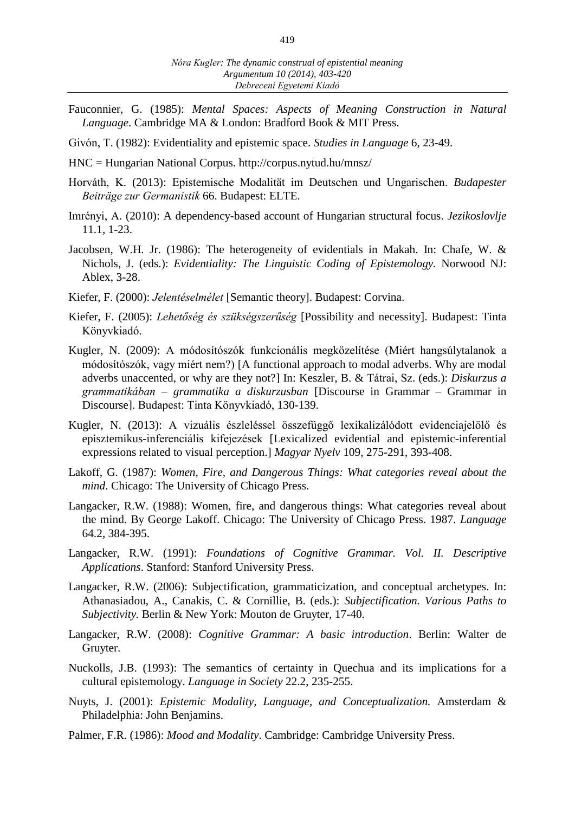- Fauconnier, G. (1985): *Mental Spaces: Aspects of Meaning Construction in Natural Language*. Cambridge MA & London: Bradford Book & MIT Press.
- Givón, T. (1982): Evidentiality and epistemic space. *Studies in Language* 6, 23-49.
- HNC = Hungarian National Corpus. http://corpus.nytud.hu/mnsz/
- Horváth, K. (2013): Epistemische Modalität im Deutschen und Ungarischen. *Budapester Beiträge zur Germanistik* 66. Budapest: ELTE.
- Imrényi, A. (2010): A dependency-based account of Hungarian structural focus. *Jezikoslovlje* 11.1, 1-23.
- Jacobsen, W.H. Jr. (1986): The heterogeneity of evidentials in Makah. In: Chafe, W. & Nichols, J. (eds.): *Evidentiality: The Linguistic Coding of Epistemology.* Norwood NJ: Ablex, 3-28.
- Kiefer, F. (2000): *Jelentéselmélet* [Semantic theory]. Budapest: Corvina.
- Kiefer, F. (2005): *Lehetőség és szükségszerűség* [Possibility and necessity]. Budapest: Tinta Könyvkiadó.
- Kugler, N. (2009): A módosítószók funkcionális megközelítése (Miért hangsúlytalanok a módosítószók, vagy miért nem?) [A functional approach to modal adverbs. Why are modal adverbs unaccented, or why are they not?] In: Keszler, B. & Tátrai, Sz. (eds.): *Diskurzus a grammatikában – grammatika a diskurzusban* [Discourse in Grammar – Grammar in Discourse]. Budapest: Tinta Könyvkiadó, 130-139.
- Kugler, N. (2013): A vizuális észleléssel összefüggő lexikalizálódott evidenciajelölő és episztemikus-inferenciális kifejezések [Lexicalized evidential and epistemic-inferential expressions related to visual perception.] *Magyar Nyelv* 109, 275-291, 393-408.
- Lakoff, G. (1987): *Women, Fire, and Dangerous Things: What categories reveal about the mind*. Chicago: The University of Chicago Press.
- Langacker, R.W. (1988): Women, fire, and dangerous things: What categories reveal about the mind. By George Lakoff. Chicago: The University of Chicago Press. 1987. *Language*  64.2, 384-395.
- Langacker, R.W. (1991): *Foundations of Cognitive Grammar. Vol. II. Descriptive Applications*. Stanford: Stanford University Press.
- Langacker, R.W. (2006): Subjectification, grammaticization, and conceptual archetypes. In: Athanasiadou, A., Canakis, C. & Cornillie, B. (eds.): *Subjectification. Various Paths to Subjectivity.* Berlin & New York: Mouton de Gruyter, 17-40.
- Langacker, R.W. (2008): *Cognitive Grammar: A basic introduction*. Berlin: Walter de Gruyter.
- Nuckolls, J.B. (1993): The semantics of certainty in Quechua and its implications for a cultural epistemology. *Language in Society* 22.2, 235-255.
- Nuyts, J. (2001): *Epistemic Modality, Language, and Conceptualization.* Amsterdam & Philadelphia: John Benjamins.
- Palmer, F.R. (1986): *Mood and Modality*. Cambridge: Cambridge University Press.